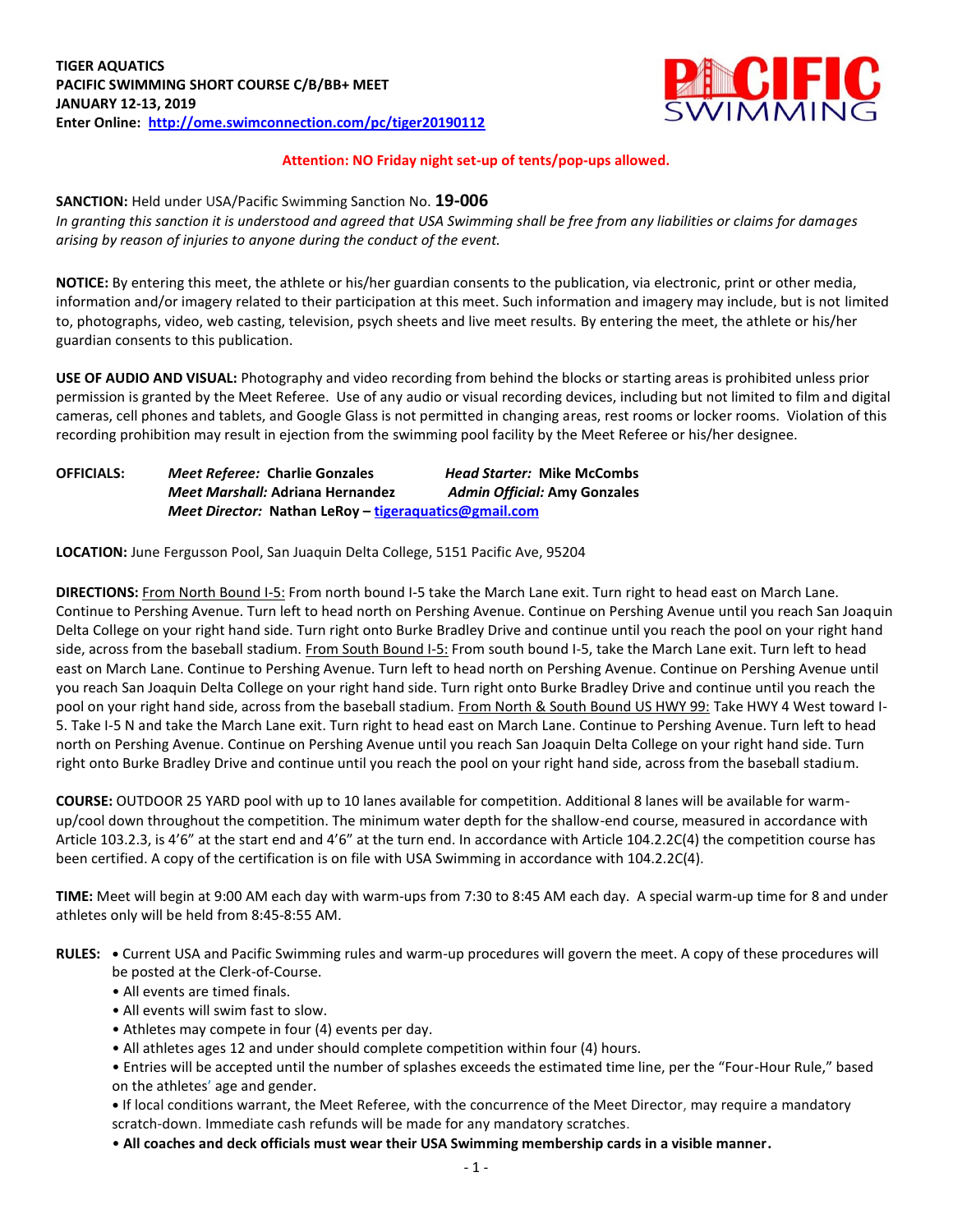

# **Attention: NO Friday night set-up of tents/pop-ups allowed.**

### **SANCTION:** Held under USA/Pacific Swimming Sanction No. **19-006**

*In granting this sanction it is understood and agreed that USA Swimming shall be free from any liabilities or claims for damages arising by reason of injuries to anyone during the conduct of the event.*

**NOTICE:** By entering this meet, the athlete or his/her guardian consents to the publication, via electronic, print or other media, information and/or imagery related to their participation at this meet. Such information and imagery may include, but is not limited to, photographs, video, web casting, television, psych sheets and live meet results. By entering the meet, the athlete or his/her guardian consents to this publication.

**USE OF AUDIO AND VISUAL:** Photography and video recording from behind the blocks or starting areas is prohibited unless prior permission is granted by the Meet Referee. Use of any audio or visual recording devices, including but not limited to film and digital cameras, cell phones and tablets, and Google Glass is not permitted in changing areas, rest rooms or locker rooms. Violation of this recording prohibition may result in ejection from the swimming pool facility by the Meet Referee or his/her designee.

| <b>OFFICIALS:</b> | <b>Meet Referee: Charlie Gonzales</b>                 | <b>Head Starter: Mike McCombs</b>   |  |  |  |  |  |
|-------------------|-------------------------------------------------------|-------------------------------------|--|--|--|--|--|
|                   | <b>Meet Marshall: Adriana Hernandez</b>               | <b>Admin Official: Amy Gonzales</b> |  |  |  |  |  |
|                   | Meet Director: Nathan LeRoy – tigeraquatics@gmail.com |                                     |  |  |  |  |  |

**LOCATION:** June Fergusson Pool, San Juaquin Delta College, 5151 Pacific Ave, 95204

**DIRECTIONS:** From North Bound I-5: From north bound I-5 take the March Lane exit. Turn right to head east on March Lane. Continue to Pershing Avenue. Turn left to head north on Pershing Avenue. Continue on Pershing Avenue until you reach San Joaquin Delta College on your right hand side. Turn right onto Burke Bradley Drive and continue until you reach the pool on your right hand side, across from the baseball stadium. From South Bound I-5: From south bound I-5, take the March Lane exit. Turn left to head east on March Lane. Continue to Pershing Avenue. Turn left to head north on Pershing Avenue. Continue on Pershing Avenue until you reach San Joaquin Delta College on your right hand side. Turn right onto Burke Bradley Drive and continue until you reach the pool on your right hand side, across from the baseball stadium. From North & South Bound US HWY 99: Take HWY 4 West toward I-5. Take I-5 N and take the March Lane exit. Turn right to head east on March Lane. Continue to Pershing Avenue. Turn left to head north on Pershing Avenue. Continue on Pershing Avenue until you reach San Joaquin Delta College on your right hand side. Turn right onto Burke Bradley Drive and continue until you reach the pool on your right hand side, across from the baseball stadium.

**COURSE:** OUTDOOR 25 YARD pool with up to 10 lanes available for competition. Additional 8 lanes will be available for warmup/cool down throughout the competition. The minimum water depth for the shallow-end course, measured in accordance with Article 103.2.3, is 4'6" at the start end and 4'6" at the turn end. In accordance with Article 104.2.2C(4) the competition course has been certified. A copy of the certification is on file with USA Swimming in accordance with 104.2.2C(4).

**TIME:** Meet will begin at 9:00 AM each day with warm-ups from 7:30 to 8:45 AM each day. A special warm-up time for 8 and under athletes only will be held from 8:45-8:55 AM.

- **RULES: •** Current USA and Pacific Swimming rules and warm-up procedures will govern the meet. A copy of these procedures will be posted at the Clerk-of-Course.
	- All events are timed finals.
	- All events will swim fast to slow.
	- Athletes may compete in four (4) events per day.
	- All athletes ages 12 and under should complete competition within four (4) hours.
	- Entries will be accepted until the number of splashes exceeds the estimated time line, per the "Four-Hour Rule," based on the athletes' age and gender.

**•** If local conditions warrant, the Meet Referee, with the concurrence of the Meet Director, may require a mandatory scratch-down. Immediate cash refunds will be made for any mandatory scratches.

• **All coaches and deck officials must wear their USA Swimming membership cards in a visible manner.**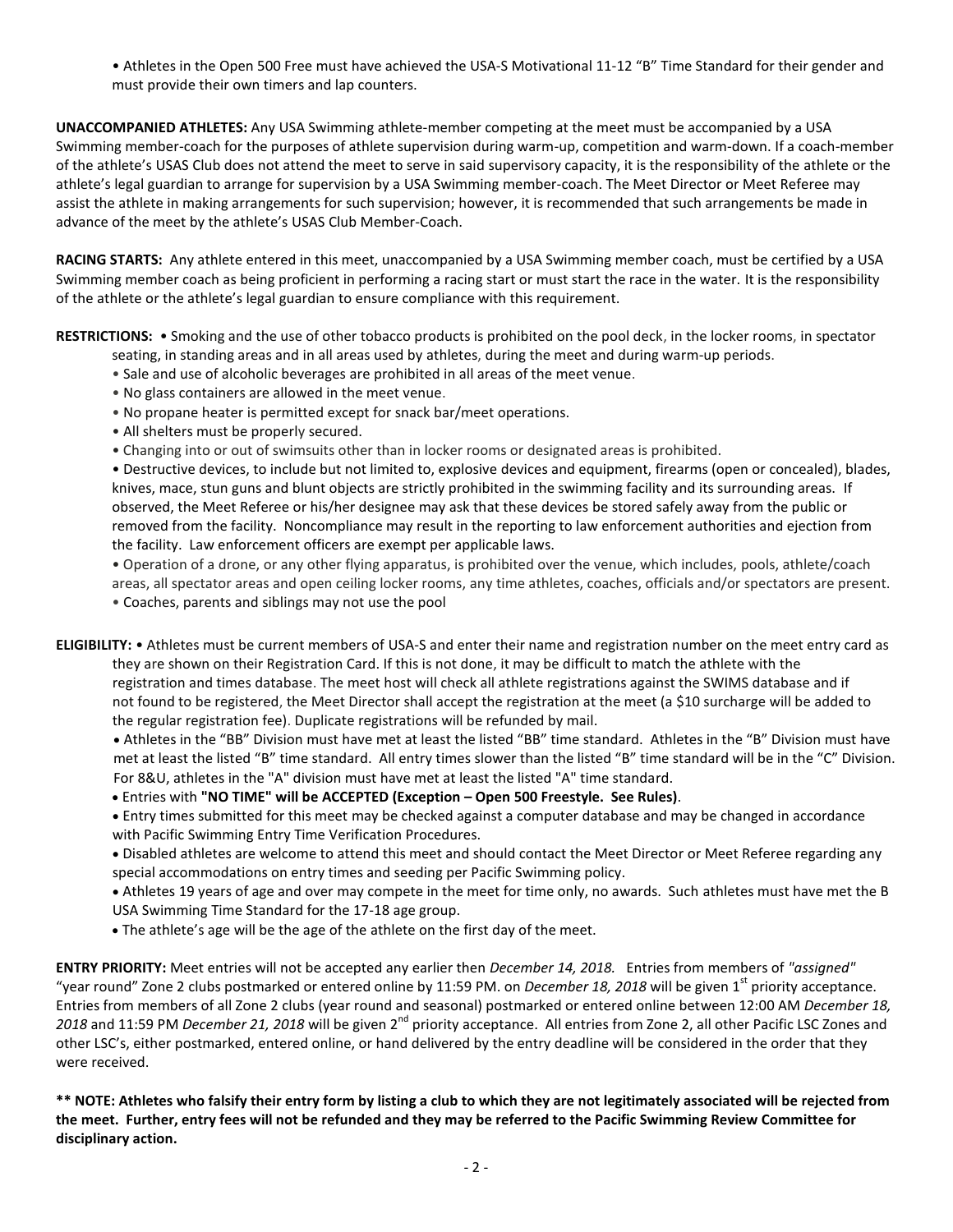• Athletes in the Open 500 Free must have achieved the USA-S Motivational 11-12 "B" Time Standard for their gender and must provide their own timers and lap counters.

**UNACCOMPANIED ATHLETES:** Any USA Swimming athlete-member competing at the meet must be accompanied by a USA Swimming member-coach for the purposes of athlete supervision during warm-up, competition and warm-down. If a coach-member of the athlete's USAS Club does not attend the meet to serve in said supervisory capacity, it is the responsibility of the athlete or the athlete's legal guardian to arrange for supervision by a USA Swimming member-coach. The Meet Director or Meet Referee may assist the athlete in making arrangements for such supervision; however, it is recommended that such arrangements be made in advance of the meet by the athlete's USAS Club Member-Coach.

**RACING STARTS:** Any athlete entered in this meet, unaccompanied by a USA Swimming member coach, must be certified by a USA Swimming member coach as being proficient in performing a racing start or must start the race in the water. It is the responsibility of the athlete or the athlete's legal guardian to ensure compliance with this requirement.

**RESTRICTIONS:** • Smoking and the use of other tobacco products is prohibited on the pool deck, in the locker rooms, in spectator

- seating, in standing areas and in all areas used by athletes, during the meet and during warm-up periods.
- Sale and use of alcoholic beverages are prohibited in all areas of the meet venue.
- No glass containers are allowed in the meet venue.
- No propane heater is permitted except for snack bar/meet operations.
- All shelters must be properly secured.
- Changing into or out of swimsuits other than in locker rooms or designated areas is prohibited.

• Destructive devices, to include but not limited to, explosive devices and equipment, firearms (open or concealed), blades, knives, mace, stun guns and blunt objects are strictly prohibited in the swimming facility and its surrounding areas. If observed, the Meet Referee or his/her designee may ask that these devices be stored safely away from the public or removed from the facility. Noncompliance may result in the reporting to law enforcement authorities and ejection from the facility. Law enforcement officers are exempt per applicable laws.

• Operation of a drone, or any other flying apparatus, is prohibited over the venue, which includes, pools, athlete/coach areas, all spectator areas and open ceiling locker rooms, any time athletes, coaches, officials and/or spectators are present. • Coaches, parents and siblings may not use the pool

**ELIGIBILITY:** • Athletes must be current members of USA-S and enter their name and registration number on the meet entry card as they are shown on their Registration Card. If this is not done, it may be difficult to match the athlete with the registration and times database. The meet host will check all athlete registrations against the SWIMS database and if not found to be registered, the Meet Director shall accept the registration at the meet (a \$10 surcharge will be added to the regular registration fee). Duplicate registrations will be refunded by mail.

 Athletes in the "BB" Division must have met at least the listed "BB" time standard. Athletes in the "B" Division must have met at least the listed "B" time standard. All entry times slower than the listed "B" time standard will be in the "C" Division. For 8&U, athletes in the "A" division must have met at least the listed "A" time standard.

Entries with **"NO TIME" will be ACCEPTED (Exception – Open 500 Freestyle. See Rules)**.

 Entry times submitted for this meet may be checked against a computer database and may be changed in accordance with Pacific Swimming Entry Time Verification Procedures.

 Disabled athletes are welcome to attend this meet and should contact the Meet Director or Meet Referee regarding any special accommodations on entry times and seeding per Pacific Swimming policy.

 Athletes 19 years of age and over may compete in the meet for time only, no awards. Such athletes must have met the B USA Swimming Time Standard for the 17-18 age group.

The athlete's age will be the age of the athlete on the first day of the meet.

**ENTRY PRIORITY:** Meet entries will not be accepted any earlier then *December 14, 2018.* Entries from members of *"assigned"*  "year round" Zone 2 clubs postmarked or entered online by 11:59 PM. on *December 18, 2018* will be given 1<sup>st</sup> priority acceptance. Entries from members of all Zone 2 clubs (year round and seasonal) postmarked or entered online between 12:00 AM *December 18,*  2018 and 11:59 PM *December 21, 2018* will be given 2<sup>nd</sup> priority acceptance. All entries from Zone 2, all other Pacific LSC Zones and other LSC's, either postmarked, entered online, or hand delivered by the entry deadline will be considered in the order that they were received.

**\*\* NOTE: Athletes who falsify their entry form by listing a club to which they are not legitimately associated will be rejected from the meet. Further, entry fees will not be refunded and they may be referred to the Pacific Swimming Review Committee for disciplinary action.**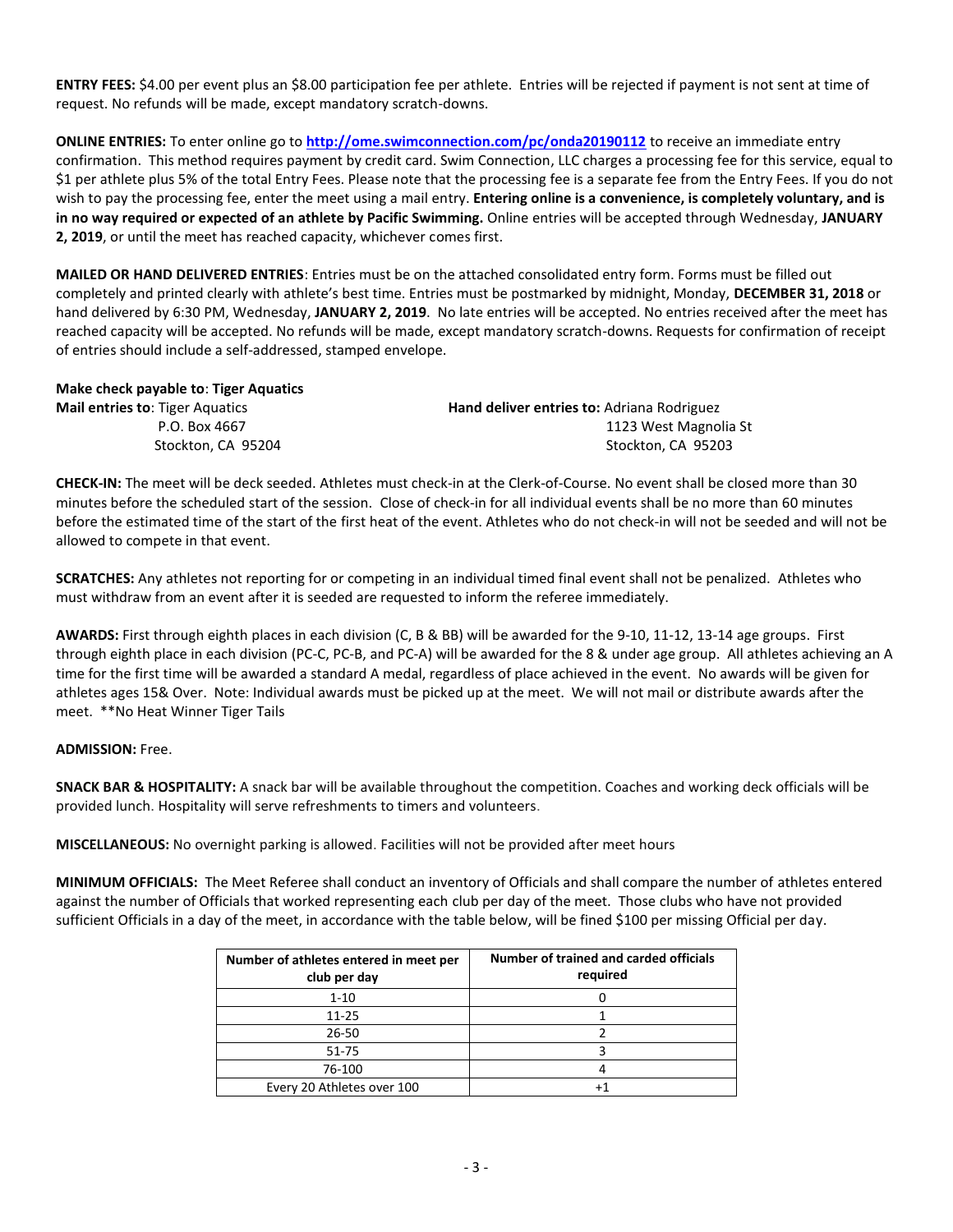**ENTRY FEES:** \$4.00 per event plus an \$8.00 participation fee per athlete. Entries will be rejected if payment is not sent at time of request. No refunds will be made, except mandatory scratch-downs.

**ONLINE ENTRIES:** To enter online go to **<http://ome.swimconnection.com/pc/onda20190112>** to receive an immediate entry confirmation. This method requires payment by credit card. Swim Connection, LLC charges a processing fee for this service, equal to \$1 per athlete plus 5% of the total Entry Fees. Please note that the processing fee is a separate fee from the Entry Fees. If you do not wish to pay the processing fee, enter the meet using a mail entry. **Entering online is a convenience, is completely voluntary, and is in no way required or expected of an athlete by Pacific Swimming.** Online entries will be accepted through Wednesday, **JANUARY 2, 2019**, or until the meet has reached capacity, whichever comes first.

**MAILED OR HAND DELIVERED ENTRIES**: Entries must be on the attached consolidated entry form. Forms must be filled out completely and printed clearly with athlete's best time. Entries must be postmarked by midnight, Monday, **DECEMBER 31, 2018** or hand delivered by 6:30 PM, Wednesday, **JANUARY 2, 2019**. No late entries will be accepted. No entries received after the meet has reached capacity will be accepted. No refunds will be made, except mandatory scratch-downs. Requests for confirmation of receipt of entries should include a self-addressed, stamped envelope.

# **Make check payable to**: **Tiger Aquatics**

| <b>Mail entries to: Tiger Aquatics</b> | Hand deliver entries to: Adriana Rodriguez |
|----------------------------------------|--------------------------------------------|
| P.O. Box 4667                          | 1123 West Magnolia St                      |
| Stockton. CA 95204                     | Stockton. CA 95203                         |

**CHECK-IN:** The meet will be deck seeded. Athletes must check-in at the Clerk-of-Course. No event shall be closed more than 30 minutes before the scheduled start of the session. Close of check-in for all individual events shall be no more than 60 minutes before the estimated time of the start of the first heat of the event. Athletes who do not check-in will not be seeded and will not be allowed to compete in that event.

**SCRATCHES:** Any athletes not reporting for or competing in an individual timed final event shall not be penalized. Athletes who must withdraw from an event after it is seeded are requested to inform the referee immediately.

**AWARDS:** First through eighth places in each division (C, B & BB) will be awarded for the 9-10, 11-12, 13-14 age groups. First through eighth place in each division (PC-C, PC-B, and PC-A) will be awarded for the 8 & under age group. All athletes achieving an A time for the first time will be awarded a standard A medal, regardless of place achieved in the event. No awards will be given for athletes ages 15& Over. Note: Individual awards must be picked up at the meet. We will not mail or distribute awards after the meet. \*\*No Heat Winner Tiger Tails

#### **ADMISSION:** Free.

**SNACK BAR & HOSPITALITY:** A snack bar will be available throughout the competition. Coaches and working deck officials will be provided lunch. Hospitality will serve refreshments to timers and volunteers.

**MISCELLANEOUS:** No overnight parking is allowed. Facilities will not be provided after meet hours

**MINIMUM OFFICIALS:** The Meet Referee shall conduct an inventory of Officials and shall compare the number of athletes entered against the number of Officials that worked representing each club per day of the meet. Those clubs who have not provided sufficient Officials in a day of the meet, in accordance with the table below, will be fined \$100 per missing Official per day.

| Number of athletes entered in meet per<br>club per day | Number of trained and carded officials<br>required |
|--------------------------------------------------------|----------------------------------------------------|
| $1 - 10$                                               |                                                    |
| $11 - 25$                                              |                                                    |
| $26 - 50$                                              |                                                    |
| $51 - 75$                                              |                                                    |
| 76-100                                                 |                                                    |
| Every 20 Athletes over 100                             |                                                    |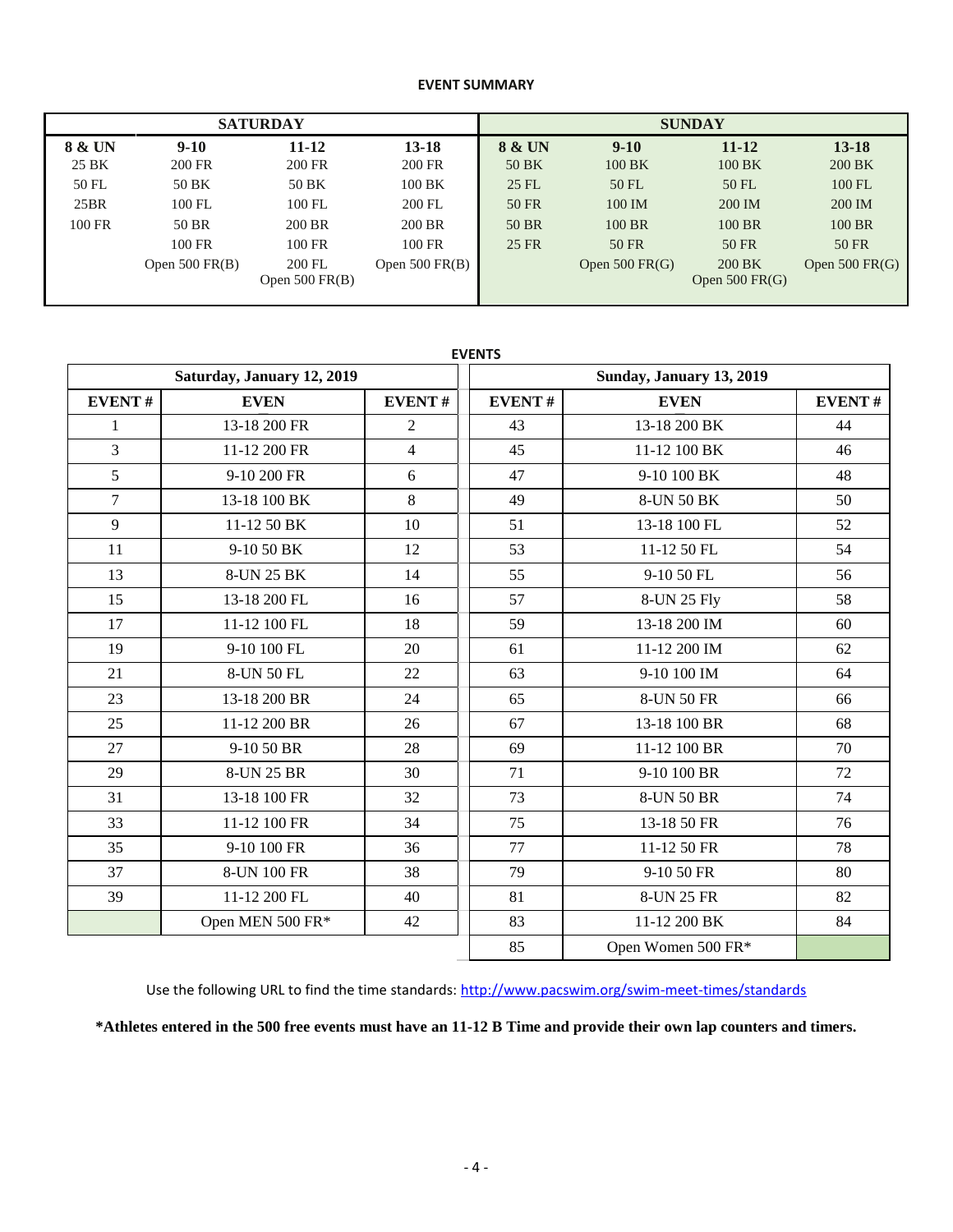# **EVENT SUMMARY**

|        |                       | <b>SATURDAY</b>            |                  | <b>SUNDAY</b> |                  |                            |                  |  |
|--------|-----------------------|----------------------------|------------------|---------------|------------------|----------------------------|------------------|--|
| 8 & UN | $9 - 10$<br>$11 - 12$ |                            | $13 - 18$        | 8 & UN        | $9 - 10$         | $11 - 12$                  | $13 - 18$        |  |
| 25 BK  | 200 FR                | 200 FR                     | 200 FR           | 50 BK         | 100 BK           | 100 BK                     | 200 BK           |  |
| 50 FL  | 50 BK                 | 50 BK                      | 100 BK           | 25 FL         | 50 FL            | 50 FL                      | 100 FL           |  |
| 25BR   | 100 FL                | 100 FL                     | 200 FL           | 50 FR         | 100 IM           | 200 IM                     | 200 IM           |  |
| 100 FR | 50 BR                 | 200 BR                     | 200 BR           | 50 BR         | 100 BR           | 100 BR                     | 100 BR           |  |
|        | 100 FR                | 100 FR                     | 100 FR           | 25 FR         | 50 FR            | 50 FR                      | 50 FR            |  |
|        | Open $500$ FR(B)      | 200 FL<br>Open $500$ FR(B) | Open $500$ FR(B) |               | Open $500$ FR(G) | 200 BK<br>Open $500$ FR(G) | Open $500$ FR(G) |  |
|        |                       |                            |                  |               |                  |                            |                  |  |

|                | Saturday, January 12, 2019 |                |               | Sunday, January 13, 2019 |               |
|----------------|----------------------------|----------------|---------------|--------------------------|---------------|
| <b>EVENT#</b>  | <b>EVEN</b>                | <b>EVENT#</b>  | <b>EVENT#</b> | <b>EVEN</b>              | <b>EVENT#</b> |
| $\mathbf{1}$   | 13-18 200 FR               | $\overline{2}$ | 43            | 13-18 200 BK             | 44            |
| $\overline{3}$ | 11-12 200 FR               | $\overline{4}$ | 45            | 11-12 100 BK             | 46            |
| 5              | 9-10 200 FR                | 6              | 47            | 9-10 100 BK              | 48            |
| $\overline{7}$ | 13-18 100 BK               | 8              | 49            | 8-UN 50 BK               | 50            |
| 9              | 11-12 50 BK                | 10             | 51            | 13-18 100 FL             | 52            |
| 11             | 9-10 50 BK                 | 12             | 53            | 11-12 50 FL              | 54            |
| 13             | 8-UN 25 BK                 | 14             | 55            | 9-10 50 FL               | 56            |
| 15             | 13-18 200 FL               | 16             | 57            | 8-UN 25 Fly              | 58            |
| 17             | 11-12 100 FL               | 18             | 59            | 13-18 200 IM             | 60            |
| 19             | 9-10 100 FL                | 20             | 61            | 11-12 200 IM             | 62            |
| 21             | 8-UN 50 FL                 | 22             | 63            | 9-10 100 IM              | 64            |
| 23             | 13-18 200 BR               | 24             | 65            | 8-UN 50 FR               | 66            |
| 25             | 11-12 200 BR               | 26             | 67            | 13-18 100 BR             | 68            |
| 27             | 9-10 50 BR                 | 28             | 69            | 11-12 100 BR             | 70            |
| 29             | 8-UN 25 BR                 | 30             | 71            | 9-10 100 BR              | 72            |
| 31             | 13-18 100 FR               | 32             | 73            | 8-UN 50 BR               | 74            |
| 33             | 11-12 100 FR               | 34             | 75            | 13-18 50 FR              | 76            |
| 35             | 9-10 100 FR                | 36             | 77            | 11-12 50 FR              | 78            |
| 37             | 8-UN 100 FR                | 38             | 79            | 9-10 50 FR               | 80            |
| 39             | 11-12 200 FL               | 40             | 81            | 8-UN 25 FR               | 82            |
|                | Open MEN 500 FR*           | 42             | 83            | 11-12 200 BK             | 84            |
|                |                            |                | 85            | Open Women 500 FR*       |               |

**EVENTS**

Use the following URL to find the time standards: <http://www.pacswim.org/swim-meet-times/standards>

**\*Athletes entered in the 500 free events must have an 11-12 B Time and provide their own lap counters and timers.**